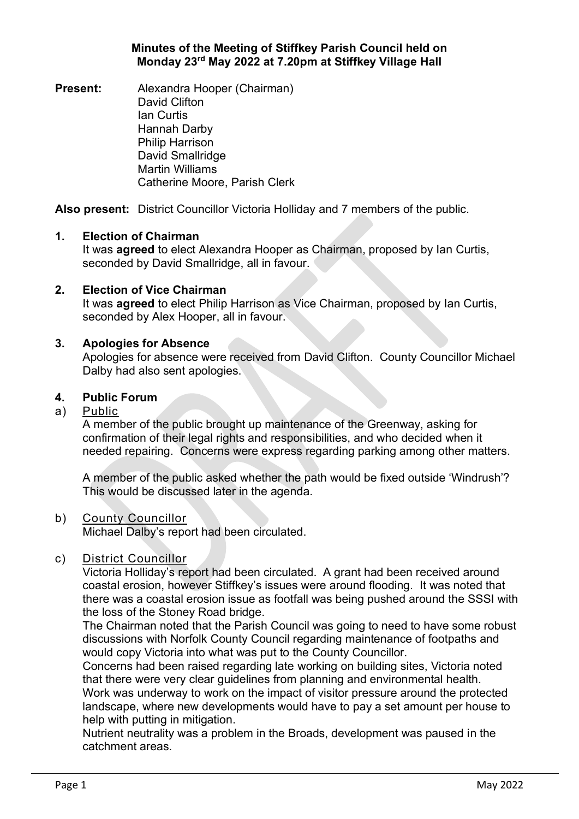## **Minutes of the Meeting of Stiffkey Parish Council held on Monday 23rd May 2022 at 7.20pm at Stiffkey Village Hall**

**Present:** Alexandra Hooper (Chairman) David Clifton Ian Curtis Hannah Darby Philip Harrison David Smallridge Martin Williams Catherine Moore, Parish Clerk

**Also present:** District Councillor Victoria Holliday and 7 members of the public.

## **1. Election of Chairman**

It was **agreed** to elect Alexandra Hooper as Chairman, proposed by Ian Curtis, seconded by David Smallridge, all in favour.

# **2. Election of Vice Chairman**

It was **agreed** to elect Philip Harrison as Vice Chairman, proposed by Ian Curtis, seconded by Alex Hooper, all in favour.

## **3. Apologies for Absence**

Apologies for absence were received from David Clifton. County Councillor Michael Dalby had also sent apologies.

## **4. Public Forum**

## a) Public

A member of the public brought up maintenance of the Greenway, asking for confirmation of their legal rights and responsibilities, and who decided when it needed repairing. Concerns were express regarding parking among other matters.

A member of the public asked whether the path would be fixed outside 'Windrush'? This would be discussed later in the agenda.

## b) County Councillor

Michael Dalby's report had been circulated.

## c) District Councillor

Victoria Holliday's report had been circulated. A grant had been received around coastal erosion, however Stiffkey's issues were around flooding. It was noted that there was a coastal erosion issue as footfall was being pushed around the SSSI with the loss of the Stoney Road bridge.

The Chairman noted that the Parish Council was going to need to have some robust discussions with Norfolk County Council regarding maintenance of footpaths and would copy Victoria into what was put to the County Councillor.

Concerns had been raised regarding late working on building sites, Victoria noted that there were very clear guidelines from planning and environmental health. Work was underway to work on the impact of visitor pressure around the protected landscape, where new developments would have to pay a set amount per house to help with putting in mitigation.

Nutrient neutrality was a problem in the Broads, development was paused in the catchment areas.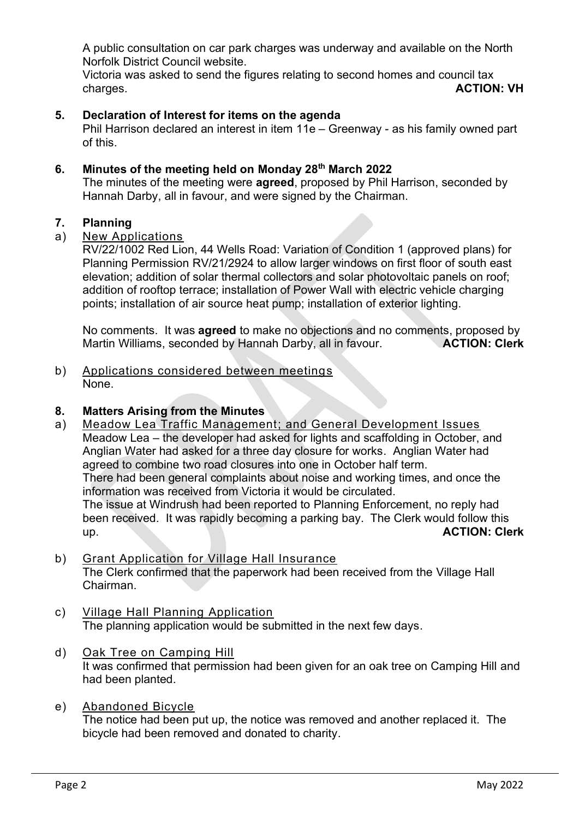A public consultation on car park charges was underway and available on the North Norfolk District Council website.

Victoria was asked to send the figures relating to second homes and council tax charges. **ACTION: VH**

# **5. Declaration of Interest for items on the agenda**

Phil Harrison declared an interest in item 11e – Greenway - as his family owned part of this.

## **6. Minutes of the meeting held on Monday 28th March 2022**

The minutes of the meeting were **agreed**, proposed by Phil Harrison, seconded by Hannah Darby, all in favour, and were signed by the Chairman.

## **7. Planning**

## a) New Applications

RV/22/1002 Red Lion, 44 Wells Road: Variation of Condition 1 (approved plans) for Planning Permission RV/21/2924 to allow larger windows on first floor of south east elevation; addition of solar thermal collectors and solar photovoltaic panels on roof; addition of rooftop terrace; installation of Power Wall with electric vehicle charging points; installation of air source heat pump; installation of exterior lighting.

No comments. It was **agreed** to make no objections and no comments, proposed by Martin Williams, seconded by Hannah Darby, all in favour. **ACTION: Clerk**

b) Applications considered between meetings None.

## **8. Matters Arising from the Minutes**

- a) Meadow Lea Traffic Management; and General Development Issues Meadow Lea – the developer had asked for lights and scaffolding in October, and Anglian Water had asked for a three day closure for works. Anglian Water had agreed to combine two road closures into one in October half term. There had been general complaints about noise and working times, and once the information was received from Victoria it would be circulated. The issue at Windrush had been reported to Planning Enforcement, no reply had been received. It was rapidly becoming a parking bay. The Clerk would follow this up. **ACTION: Clerk**
- b) Grant Application for Village Hall Insurance The Clerk confirmed that the paperwork had been received from the Village Hall Chairman.
- c) Village Hall Planning Application The planning application would be submitted in the next few days.
- d) Oak Tree on Camping Hill It was confirmed that permission had been given for an oak tree on Camping Hill and had been planted.
- e) Abandoned Bicycle The notice had been put up, the notice was removed and another replaced it. The bicycle had been removed and donated to charity.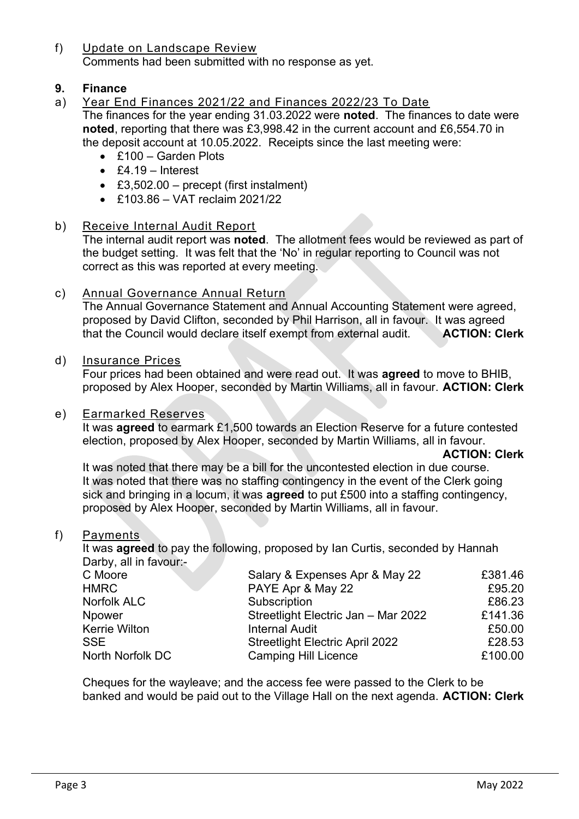f) Update on Landscape Review Comments had been submitted with no response as yet.

# **9. Finance**

- a) Year End Finances 2021/22 and Finances 2022/23 To Date The finances for the year ending 31.03.2022 were **noted**. The finances to date were **noted**, reporting that there was £3,998.42 in the current account and £6,554.70 in the deposit account at 10.05.2022. Receipts since the last meeting were:
	- £100 Garden Plots
	- £4.19 Interest
	- £3,502.00 precept (first instalment)
	- £103.86 VAT reclaim 2021/22
- b) Receive Internal Audit Report

The internal audit report was **noted**. The allotment fees would be reviewed as part of the budget setting. It was felt that the 'No' in regular reporting to Council was not correct as this was reported at every meeting.

## c) Annual Governance Annual Return

The Annual Governance Statement and Annual Accounting Statement were agreed, proposed by David Clifton, seconded by Phil Harrison, all in favour. It was agreed that the Council would declare itself exempt from external audit. **ACTION: Clerk**

## d) Insurance Prices

Four prices had been obtained and were read out. It was **agreed** to move to BHIB, proposed by Alex Hooper, seconded by Martin Williams, all in favour. **ACTION: Clerk**

#### e) Earmarked Reserves

It was **agreed** to earmark £1,500 towards an Election Reserve for a future contested election, proposed by Alex Hooper, seconded by Martin Williams, all in favour.

#### **ACTION: Clerk**

It was noted that there may be a bill for the uncontested election in due course. It was noted that there was no staffing contingency in the event of the Clerk going sick and bringing in a locum, it was **agreed** to put £500 into a staffing contingency, proposed by Alex Hooper, seconded by Martin Williams, all in favour.

#### f) Payments

It was **agreed** to pay the following, proposed by Ian Curtis, seconded by Hannah Darby, all in favour:-

| C Moore              | Salary & Expenses Apr & May 22         | £381.46 |
|----------------------|----------------------------------------|---------|
| <b>HMRC</b>          | PAYE Apr & May 22                      | £95.20  |
| <b>Norfolk ALC</b>   | Subscription                           | £86.23  |
| Npower               | Streetlight Electric Jan - Mar 2022    | £141.36 |
| <b>Kerrie Wilton</b> | <b>Internal Audit</b>                  | £50.00  |
| <b>SSE</b>           | <b>Streetlight Electric April 2022</b> | £28.53  |
| North Norfolk DC     | <b>Camping Hill Licence</b>            | £100.00 |
|                      |                                        |         |

Cheques for the wayleave; and the access fee were passed to the Clerk to be banked and would be paid out to the Village Hall on the next agenda. **ACTION: Clerk**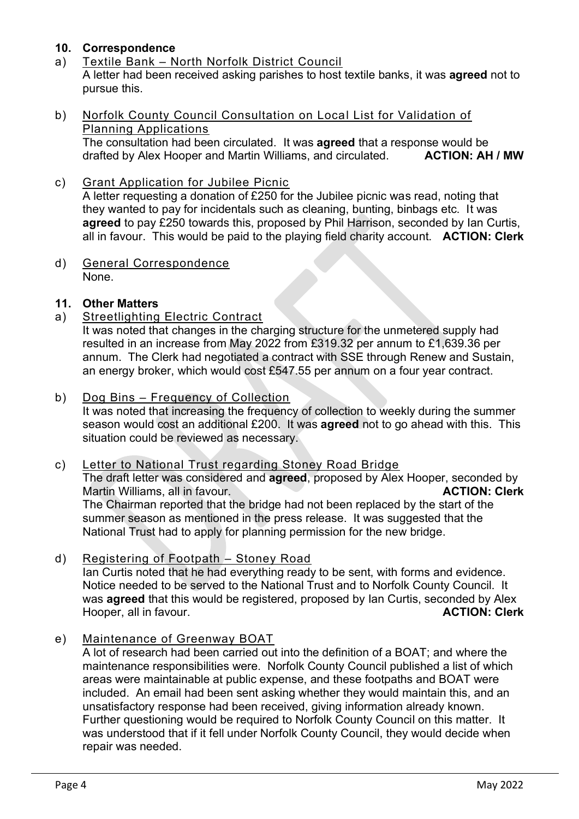# **10. Correspondence**

- a) Textile Bank North Norfolk District Council A letter had been received asking parishes to host textile banks, it was **agreed** not to pursue this.
- b) Norfolk County Council Consultation on Local List for Validation of Planning Applications

The consultation had been circulated. It was **agreed** that a response would be drafted by Alex Hooper and Martin Williams, and circulated. **ACTION: AH / MW**

c) Grant Application for Jubilee Picnic

A letter requesting a donation of £250 for the Jubilee picnic was read, noting that they wanted to pay for incidentals such as cleaning, bunting, binbags etc. It was **agreed** to pay £250 towards this, proposed by Phil Harrison, seconded by Ian Curtis, all in favour. This would be paid to the playing field charity account. **ACTION: Clerk**

d) General Correspondence None.

# **11. Other Matters**

a) Streetlighting Electric Contract

It was noted that changes in the charging structure for the unmetered supply had resulted in an increase from May 2022 from £319.32 per annum to £1,639.36 per annum. The Clerk had negotiated a contract with SSE through Renew and Sustain, an energy broker, which would cost £547.55 per annum on a four year contract.

b) Dog Bins – Frequency of Collection

It was noted that increasing the frequency of collection to weekly during the summer season would cost an additional £200. It was **agreed** not to go ahead with this. This situation could be reviewed as necessary.

# c) Letter to National Trust regarding Stoney Road Bridge

The draft letter was considered and **agreed**, proposed by Alex Hooper, seconded by Martin Williams, all in favour. **ACTION: Clerk** The Chairman reported that the bridge had not been replaced by the start of the summer season as mentioned in the press release. It was suggested that the National Trust had to apply for planning permission for the new bridge.

- d) Registering of Footpath Stoney Road Ian Curtis noted that he had everything ready to be sent, with forms and evidence. Notice needed to be served to the National Trust and to Norfolk County Council. It was **agreed** that this would be registered, proposed by Ian Curtis, seconded by Alex Hooper, all in favour. **ACTION: Clerk**
- e) Maintenance of Greenway BOAT

A lot of research had been carried out into the definition of a BOAT; and where the maintenance responsibilities were. Norfolk County Council published a list of which areas were maintainable at public expense, and these footpaths and BOAT were included. An email had been sent asking whether they would maintain this, and an unsatisfactory response had been received, giving information already known. Further questioning would be required to Norfolk County Council on this matter. It was understood that if it fell under Norfolk County Council, they would decide when repair was needed.